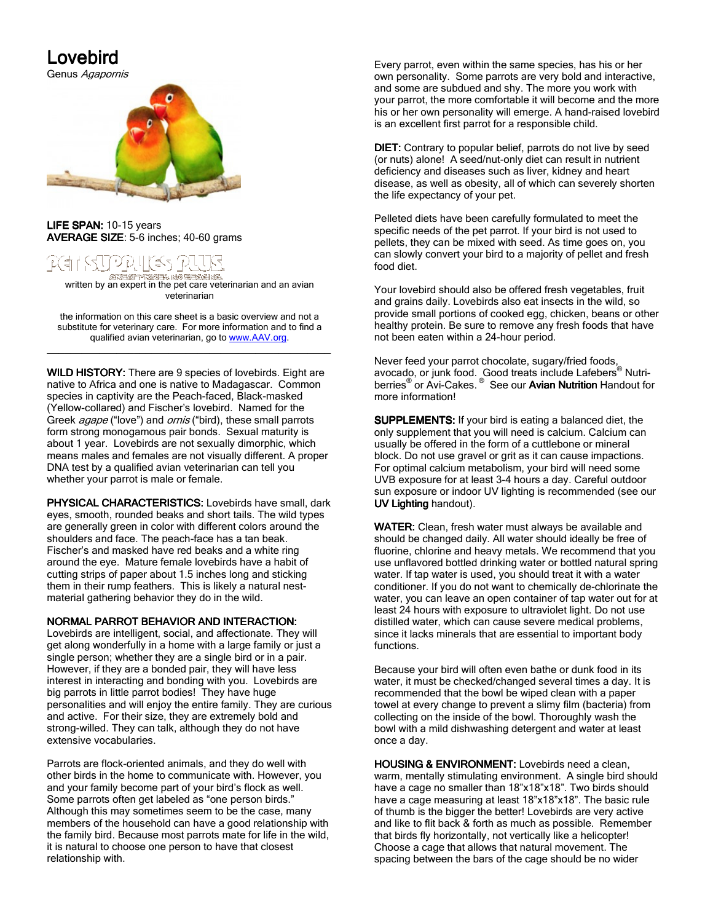## Lovebird Lovebird

Genus Agapornis



LIFE SPAN: 10-15 years AVERAGE SIZE:  $5-6$  inches; 40-60 grams



ি প্ৰসৰ্দেশ কৰে ৷<br>written by an expert in the pet care veterinarian and an avian veterinarian

the information on this care sheet is a basic overview and not a substitute for veterinary care. For more information and to find a qualified avian veterinarian, go to www.AAV.org. \_\_\_\_\_\_\_\_\_\_\_\_\_\_\_\_\_\_\_\_\_\_\_\_\_\_\_\_\_\_\_\_\_\_\_\_\_\_\_\_\_\_\_\_\_\_\_\_\_ \_\_\_\_\_\_\_\_\_\_\_\_\_\_\_\_\_\_\_\_\_\_\_\_\_\_\_\_\_\_\_\_\_\_\_\_\_\_\_\_\_\_\_\_\_\_\_\_\_

WILD HISTORY: There are 9 species of lovebirds. Eight are native to Africa and one is native to Madagascar. Common species in captivity are the Peach-faced, Black-masked (Yellow-collared) and Fischer's lovebird. Named for the Greek *agape* ("love") and *ornis* ("bird), these small parrots form strong monogamous pair bonds. Sexual maturity is about 1 year. Lovebirds are not sexually dimorphic, which means males and females are not visually different. A proper DNA test by a qualified avian veterinarian can tell you whether your parrot is male or female.

PHYSICAL CHARACTERISTICS: Lovebirds have small, dark eyes, smooth, rounded beaks and short tails. The wild types are generally green in color with different colors around the shoulders and face. The peach-face has a tan beak. Fischer's and masked have red beaks and a white ring around the eye. Mature female lovebirds have a habit of cutting strips of paper about 1.5 inches long and sticking them in their rump feathers. This is likely a natural nestmaterial gathering behavior they do in the wild.

## NORMAL PARROT BEHAVIOR AND INTERACTION:

Lovebirds are intelligent, social, and affectionate. They will get along wonderfully in a home with a large family or just a single person; whether they are a single bird or in a pair. However, if they are a bonded pair, they will have less interest in interacting and bonding with you. Lovebirds are big parrots in little parrot bodies! They have huge personalities and will enjoy the entire family. They are curious and active. For their size, they are extremely bold and strong-willed. They can talk, although they do not have extensive vocabularies.

Parrots are flock-oriented animals, and they do well with other birds in the home to communicate with. However, you and your family become part of your bird's flock as well. Some parrots often get labeled as "one person birds." Although this may sometimes seem to be the case, many members of the household can have a good relationship with the family bird. Because most parrots mate for life in the wild, it is natural to choose one person to have that closest relationship with.

Every parrot, even within the same species, has his or her own personality. Some parrots are very bold and interactive, and some are subdued and shy. The more you work with your parrot, the more comfortable it will become and the more his or her own personality will emerge. A hand-raised lovebird is an excellent first parrot for a responsible child.

DIET: Contrary to popular belief, parrots do not live by seed (or nuts) alone! A seed/nut-only diet can result in nutrient deficiency and diseases such as liver, kidney and heart disease, as well as obesity, all of which can severely shorten the life expectancy of your pet.

Pelleted diets have been carefully formulated to meet the specific needs of the pet parrot. If your bird is not used to pellets, they can be mixed with seed. As time goes on, you can slowly convert your bird to a majority of pellet and fresh food diet.

Your lovebird should also be offered fresh vegetables, fruit and grains daily. Lovebirds also eat insects in the wild, so provide small portions of cooked egg, chicken, beans or other healthy protein. Be sure to remove any fresh foods that have not been eaten within a 24-hour period.

Never feed your parrot chocolate, sugary/fried foods, avocado, or junk food. Good treats include Lafebers® Nutriberries<sup>®</sup> or Avi-Cakes.<sup>®</sup> See our Avian Nutrition Handout for more information!

SUPPLEMENTS: If your bird is eating a balanced diet, the only supplement that you will need is calcium. Calcium can usually be offered in the form of a cuttlebone or mineral block. Do not use gravel or grit as it can cause impactions. For optimal calcium metabolism, your bird will need some UVB exposure for at least 3-4 hours a day. Careful outdoor sun exposure or indoor UV lighting is recommended (see our UV Lighting handout).

WATER: Clean, fresh water must always be available and should be changed daily. All water should ideally be free of fluorine, chlorine and heavy metals. We recommend that you use unflavored bottled drinking water or bottled natural spring water. If tap water is used, you should treat it with a water conditioner. If you do not want to chemically de-chlorinate the water, you can leave an open container of tap water out for at least 24 hours with exposure to ultraviolet light. Do not use distilled water, which can cause severe medical problems, since it lacks minerals that are essential to important body functions.

Because your bird will often even bathe or dunk food in its water, it must be checked/changed several times a day. It is recommended that the bowl be wiped clean with a paper towel at every change to prevent a slimy film (bacteria) from collecting on the inside of the bowl. Thoroughly wash the bowl with a mild dishwashing detergent and water at least once a day.

HOUSING & ENVIRONMENT: Lovebirds need a clean, warm, mentally stimulating environment. A single bird should have a cage no smaller than 18"x18"x18". Two birds should have a cage measuring at least 18"x18"x18". The basic rule of thumb is the bigger the better! Lovebirds are very active and like to flit back & forth as much as possible. Remember that birds fly horizontally, not vertically like a helicopter! Choose a cage that allows that natural movement. The spacing between the bars of the cage should be no wider